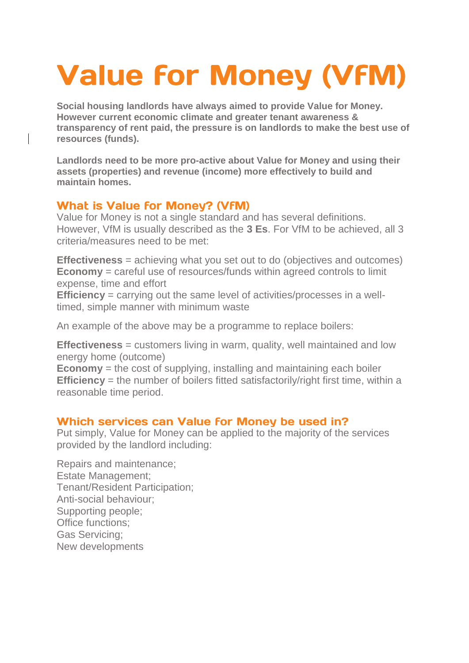# **Value for Money (VFM)**

**Social housing landlords have always aimed to provide Value for Money. However current economic climate and greater tenant awareness & transparency of rent paid, the pressure is on landlords to make the best use of resources (funds).** 

**Landlords need to be more pro-active about Value for Money and using their assets (properties) and revenue (income) more effectively to build and maintain homes.** 

#### **What is Value for Money? (VFM)**

Value for Money is not a single standard and has several definitions. However, VfM is usually described as the **3 Es**. For VfM to be achieved, all 3 criteria/measures need to be met:

**Effectiveness** = achieving what you set out to do (objectives and outcomes) **Economy** = careful use of resources/funds within agreed controls to limit expense, time and effort

**Efficiency** = carrying out the same level of activities/processes in a welltimed, simple manner with minimum waste

An example of the above may be a programme to replace boilers:

**Effectiveness** = customers living in warm, quality, well maintained and low energy home (outcome)

**Economy** = the cost of supplying, installing and maintaining each boiler **Efficiency** = the number of boilers fitted satisfactorily/right first time, within a reasonable time period.

### Which services can Value for Money be used in?

Put simply, Value for Money can be applied to the majority of the services provided by the landlord including:

Repairs and maintenance; Estate Management; Tenant/Resident Participation; Anti-social behaviour; Supporting people; Office functions; Gas Servicing; New developments